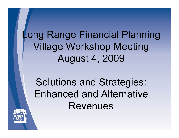**Long Range Financial Planning Village Workshop Meeting August 4, 2009** 

**Solutions and Strategies: Enhanced and Alternative Revenues** 

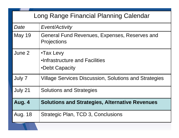|                | Long Range Financial Planning Calendar                              |
|----------------|---------------------------------------------------------------------|
| Date           | <b>Event/Activity</b>                                               |
| <b>May 19</b>  | General Fund Revenues, Expenses, Reserves and<br><b>Projections</b> |
| June 2         | •Tax Levy<br>.Infrastructure and Facilities<br>•Debt Capacity       |
| July 7         | <b>Village Services Discussion, Solutions and Strategies</b>        |
| July 21        | <b>Solutions and Strategies</b>                                     |
| Aug. 4         | <b>Solutions and Strategies, Alternative Revenues</b>               |
| <b>Aug. 18</b> | Strategic Plan, TCD 3, Conclusions                                  |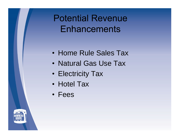**Potential Revenue Enhancements** 

- Home Rule Sales Tax
- Natural Gas Use Tax
- Electricity Tax
- Hotel Tax
- Fees

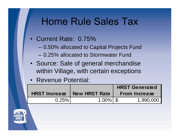### **Home Rule Sales Tax**

- Current Rate: 0.75%
	- 0.50% allocated to Capital Projects Fund
	- 0.25% allocated to Stormwater Fund
- Source: Sale of general merchandise within Village, with certain exceptions
- Revenue Potential:

|                      |               | <b>HRST Generated</b>   |  |
|----------------------|---------------|-------------------------|--|
| <b>HRST Increase</b> | New HRST Rate | <b>From Increase</b>    |  |
| 0.25%                | 1.00%  \$     | $1,990,000$ $\parallel$ |  |

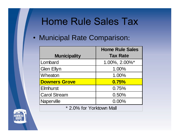## **Home Rule Sales Tax**

|                          | <b>Home Rule Sales</b>           |
|--------------------------|----------------------------------|
| <b>Municipality</b>      | <b>Tax Rate</b>                  |
| Lombard                  | $1.00\%$ , $2.00\%$ <sup>*</sup> |
| <b>Glen Ellyn</b>        | 1.00%                            |
| Wheaton                  | 1.00%                            |
| <b>Downers Grove</b>     | 0.75%                            |
| <b>Elmhurst</b>          | 0.75%                            |
| <b>Carol Stream</b>      | 0.50%                            |
| Naperville               | 0.00%                            |
| * 2.0% for Yorktown Mall |                                  |

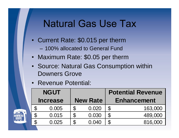### **Natural Gas Use Tax**

- Current Rate: \$0.015 per therm 100% allocated to General Fund
- Maximum Rate: \$0.05 per therm  $\bullet$
- Source: Natural Gas Consumption within Downers Grove
- Revenue Potential:

|                   | <b>NGUT</b>     |                 | <b>Potential Revenue</b> |
|-------------------|-----------------|-----------------|--------------------------|
|                   | <b>Increase</b> | <b>New Rate</b> | <b>Enhancement</b>       |
| $\mathbf{r}$<br>w | 0.005           | 0.020           | 163,000                  |
| æ<br>w            | 0.015           | 0.030           | 489,000                  |
| æ<br>w            | 0.025           | 0.040           | 816,000                  |

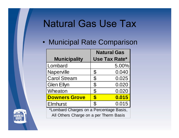## **Natural Gas Use Tax**

|                                         | <b>Natural Gas</b> |
|-----------------------------------------|--------------------|
| <b>Municipality</b>                     | Use Tax Rate*      |
| Lombard                                 | $5.00\%$           |
| Naperville                              | 0.040              |
| <b>Carol Stream</b>                     | 0.025              |
| <b>Glen Ellyn</b>                       | 0.020              |
| Wheaton                                 | 0.020              |
| <b>Downers Grove</b>                    | 0.015              |
| <b>Elmhurst</b>                         | 0.015              |
| *Lombard Charges on a Percentage Basis, |                    |
| All Others Charge on a per Therm Basis  |                    |

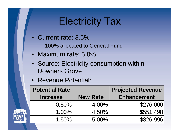## **Electricity Tax**

- Current rate: 3.5%
	- 100% allocated to General Fund
- Maximum rate: 5.0%
- Source: Electricity consumption within Downers Grove
- Revenue Potential:

| Potential Rate  |                 | <b>Projected Revenue</b> |
|-----------------|-----------------|--------------------------|
| <b>Increase</b> | <b>New Rate</b> | <b>Enhancement</b>       |
| 0.50%           | 4.00%           | \$276,000                |
| $1.00\%$        | 4.50%           | \$551,498                |
| $1.50\%$        | 5.00%           | \$826,996                |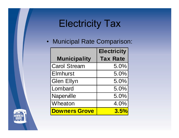# **Electricity Tax**

|                      | <b>Electricity</b> |
|----------------------|--------------------|
| <b>Municipality</b>  | <b>Tax Rate</b>    |
| <b>Carol Stream</b>  | $5.0\%$            |
| <b>Elmhurst</b>      | $5.0\%$            |
| Glen Ellyn           | $5.0\%$            |
| Lombard              | $5.0\%$            |
| Naperville           | $5.0\%$            |
| Wheaton              | $4.0\%$            |
| <b>Downers Grove</b> | 3.5%               |

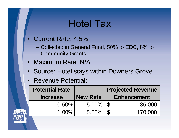### **Hotel Tax**

- Current Rate: 4.5%
	- Collected in General Fund, 50% to EDC, 8% to Community Grants
- Maximum Rate: N/A
- Source: Hotel stays within Downers Grove  $\bullet$
- Revenue Potential:

| <b>Potential Rate</b> |          |      | <b>Projected Revenue</b> |
|-----------------------|----------|------|--------------------------|
| <b>Increase</b>       | New Rate |      | <b>Enhancement</b>       |
| $0.50\%$              | $5.00\%$ | - 11 | 85,000                   |
| $1.00\%$              | $5.50\%$ | - 92 | 170,000                  |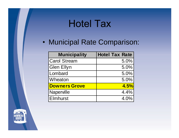# **Hotel Tax**

| <b>Municipality</b>  | Hotel Tax Rate |
|----------------------|----------------|
| <b>Carol Stream</b>  | $5.0\%$        |
| Glen Ellyn           | $5.0\%$        |
| Lombard              | $5.0\%$        |
| Wheaton              | $5.0\%$        |
| <b>Downers Grove</b> | 4.5%           |
| Naperville           | 4.4%           |
| <b>Elmhurst</b>      | $4.0\%$        |

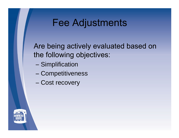# **Fee Adjustments**

Are being actively evaluated based on the following objectives:

- Simplification
- Competitiveness
- Cost recovery

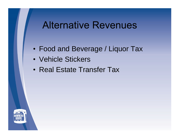### **Alternative Revenues**

- Food and Beverage / Liquor Tax
- Vehicle Stickers
- Real Estate Transfer Tax

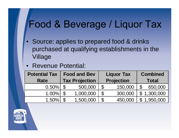## Food & Beverage / Liquor Tax

- Source: applies to prepared food & drinks purchased at qualifying establishments in the Village
- Revenue Potential:

| <b>Potential Tax</b> | <b>Food and Bev</b>   | <b>Liquor Tax</b> |              | <b>Combined</b> |
|----------------------|-----------------------|-------------------|--------------|-----------------|
| <b>Rate</b>          | <b>Tax Projection</b> | <b>Projection</b> |              | <b>Total</b>    |
| $0.50\%$             | 500,000               | 150,000           |              | 650,000         |
| $ .00\% $            | ,000,000              | 300,000           | $\bullet$    | ,300,000        |
| $.50\%$              | ,500,000              | 450,000           | $\mathbf{T}$ | 1,950,000       |

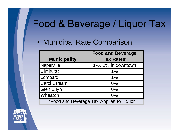# Food & Beverage / Liquor Tax

|                     | <b>Food and Beverage</b>                 |
|---------------------|------------------------------------------|
| <b>Municipality</b> | Tax Rates*                               |
| Naperville          | 1%, 2% in downtown                       |
| Elmhurst            |                                          |
| Lombard             | $1\%$                                    |
| <b>Carol Stream</b> | $0\%$                                    |
| Glen Ellyn          | 0%                                       |
| Wheaton             | $0\%$                                    |
|                     | *Food and Beverage Tax Applies to Liquor |

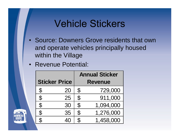### **Vehicle Stickers**

- Source: Downers Grove residents that own  $\bullet$ and operate vehicles principally housed within the Village
- Revenue Potential:

|                                    |                      |             | <b>Annual Sticker</b> |
|------------------------------------|----------------------|-------------|-----------------------|
|                                    | <b>Sticker Price</b> |             | <b>Revenue</b>        |
| $\mathbf{\Phi}$<br>$\mathbf{\Phi}$ | 20                   | $\mathbf U$ | 729,000               |
| $\mathbf{\Omega}$<br>$\mathbf U$   | 25                   | <b>J</b>    | 911,000               |
| ∩                                  | 30                   | $\mathbf U$ | 1,094,000             |
| $\mathbf{C}$<br>ັ∪                 | 35                   | $\bf{D}$    | ,276,000              |
| $\mathbf \sigma$<br>ັ∪             | 40                   |             | ,458,000              |

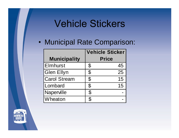## **Vehicle Stickers**

|                     | Vehicle Sticker |
|---------------------|-----------------|
| <b>Municipality</b> | <b>Price</b>    |
| Elmhurst            | 45              |
| <b>Glen Ellyn</b>   | 25              |
| <b>Carol Stream</b> | <b>US</b>       |
| Lombard             | ּ∪ ו            |
| Naperville          |                 |
| Wheaton             |                 |

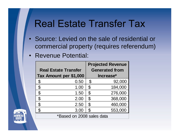### **Real Estate Transfer Tax**

- Source: Levied on the sale of residential or  $\bullet$ commercial property (requires referendum)
- Revenue Potential:

|                             | <b>Projected Revenue</b> |
|-----------------------------|--------------------------|
| <b>Real Estate Transfer</b> | <b>Generated from</b>    |
| Tax Amount per \$1,000      | Increase*                |
| 0.50                        | 92,000                   |
| 1.00                        | 184,000                  |
| 1.50                        | 276,000                  |
| 2.00                        | 368,000                  |
| 2.50                        | 460,000                  |
| $3.00$   \$                 | 553,000                  |
| *Based on 2008 sales data   |                          |

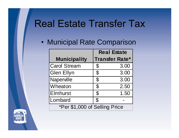# **Real Estate Transfer Tax**

|                               |  | <b>Real Estate</b> |
|-------------------------------|--|--------------------|
| <b>Municipality</b>           |  | Transfer Rate*     |
| <b>Carol Stream</b>           |  | 3.00               |
| <b>Glen Ellyn</b>             |  | 3.00               |
| Naperville                    |  | 3.00               |
| Wheaton                       |  | 2.50               |
| <b>Elmhurst</b>               |  | $.50$ $'$          |
| Lombard                       |  |                    |
| *Per \$1,000 of Selling Price |  |                    |

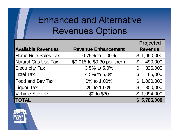# **Enhanced and Alternative Revenues Options**

|                           |                             | Projected   |
|---------------------------|-----------------------------|-------------|
| <b>Available Revenues</b> | <b>Revenue Enhancement</b>  | Revenue     |
| Home Rule Sales Tax       | 0.75% to 1.00%              | \$1,990,000 |
| Natural Gas Use Tax       | \$0.015 to \$0.30 per therm | 490,000     |
| <b>Electricity Tax</b>    | $3.5\%$ to $5.0\%$          | 826,000     |
| <b>Hotel Tax</b>          | 4.5% to 5.0%                | 85,000      |
| <b>Food and Bev Tax</b>   | 0% to 1.00%                 | \$1,000,000 |
| Liquor Tax                | 0% to 1.00%                 | 300,000     |
| Vehicle Stickers          | \$0 to \$30                 | \$1,094,000 |
| <b>TOTAL</b>              |                             | \$5,785,000 |